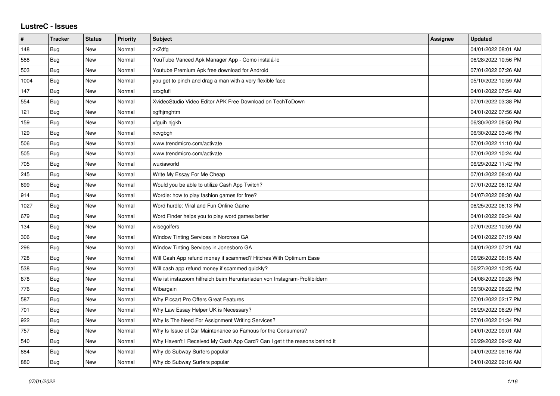## **LustreC - Issues**

| $\pmb{\#}$ | <b>Tracker</b> | <b>Status</b> | <b>Priority</b> | <b>Subject</b>                                                             | Assignee | <b>Updated</b>      |
|------------|----------------|---------------|-----------------|----------------------------------------------------------------------------|----------|---------------------|
| 148        | <b>Bug</b>     | New           | Normal          | zxZdfg                                                                     |          | 04/01/2022 08:01 AM |
| 588        | <b>Bug</b>     | <b>New</b>    | Normal          | YouTube Vanced Apk Manager App - Como instalá-lo                           |          | 06/28/2022 10:56 PM |
| 503        | Bug            | New           | Normal          | Youtube Premium Apk free download for Android                              |          | 07/01/2022 07:26 AM |
| 1004       | Bug            | <b>New</b>    | Normal          | you get to pinch and drag a man with a very flexible face                  |          | 05/10/2022 10:59 AM |
| 147        | <b>Bug</b>     | <b>New</b>    | Normal          | xzxgfufi                                                                   |          | 04/01/2022 07:54 AM |
| 554        | Bug            | New           | Normal          | XvideoStudio Video Editor APK Free Download on TechToDown                  |          | 07/01/2022 03:38 PM |
| 121        | <b>Bug</b>     | <b>New</b>    | Normal          | xgfhjmghtm                                                                 |          | 04/01/2022 07:56 AM |
| 159        | Bug            | <b>New</b>    | Normal          | xfguih njgkh                                                               |          | 06/30/2022 08:50 PM |
| 129        | Bug            | New           | Normal          | xcvgbgh                                                                    |          | 06/30/2022 03:46 PM |
| 506        | Bug            | New           | Normal          | www.trendmicro.com/activate                                                |          | 07/01/2022 11:10 AM |
| 505        | <b>Bug</b>     | New           | Normal          | www.trendmicro.com/activate                                                |          | 07/01/2022 10:24 AM |
| 705        | Bug            | New           | Normal          | wuxiaworld                                                                 |          | 06/29/2022 11:42 PM |
| 245        | Bug            | New           | Normal          | Write My Essay For Me Cheap                                                |          | 07/01/2022 08:40 AM |
| 699        | Bug            | New           | Normal          | Would you be able to utilize Cash App Twitch?                              |          | 07/01/2022 08:12 AM |
| 914        | Bug            | <b>New</b>    | Normal          | Wordle: how to play fashion games for free?                                |          | 04/07/2022 08:30 AM |
| 1027       | Bug            | New           | Normal          | Word hurdle: Viral and Fun Online Game                                     |          | 06/25/2022 06:13 PM |
| 679        | <b>Bug</b>     | New           | Normal          | Word Finder helps you to play word games better                            |          | 04/01/2022 09:34 AM |
| 134        | Bug            | <b>New</b>    | Normal          | wisegolfers                                                                |          | 07/01/2022 10:59 AM |
| 306        | Bug            | New           | Normal          | Window Tinting Services in Norcross GA                                     |          | 04/01/2022 07:19 AM |
| 296        | <b>Bug</b>     | New           | Normal          | Window Tinting Services in Jonesboro GA                                    |          | 04/01/2022 07:21 AM |
| 728        | Bug            | <b>New</b>    | Normal          | Will Cash App refund money if scammed? Hitches With Optimum Ease           |          | 06/26/2022 06:15 AM |
| 538        | Bug            | New           | Normal          | Will cash app refund money if scammed quickly?                             |          | 06/27/2022 10:25 AM |
| 878        | <b>Bug</b>     | New           | Normal          | Wie ist instazoom hilfreich beim Herunterladen von Instagram-Profilbildern |          | 04/08/2022 09:28 PM |
| 776        | Bug            | New           | Normal          | Wibargain                                                                  |          | 06/30/2022 06:22 PM |
| 587        | Bug            | New           | Normal          | Why Picsart Pro Offers Great Features                                      |          | 07/01/2022 02:17 PM |
| 701        | <b>Bug</b>     | New           | Normal          | Why Law Essay Helper UK is Necessary?                                      |          | 06/29/2022 06:29 PM |
| 922        | Bug            | New           | Normal          | Why Is The Need For Assignment Writing Services?                           |          | 07/01/2022 01:34 PM |
| 757        | Bug            | New           | Normal          | Why Is Issue of Car Maintenance so Famous for the Consumers?               |          | 04/01/2022 09:01 AM |
| 540        | Bug            | <b>New</b>    | Normal          | Why Haven't I Received My Cash App Card? Can I get t the reasons behind it |          | 06/29/2022 09:42 AM |
| 884        | Bug            | New           | Normal          | Why do Subway Surfers popular                                              |          | 04/01/2022 09:16 AM |
| 880        | Bug            | New           | Normal          | Why do Subway Surfers popular                                              |          | 04/01/2022 09:16 AM |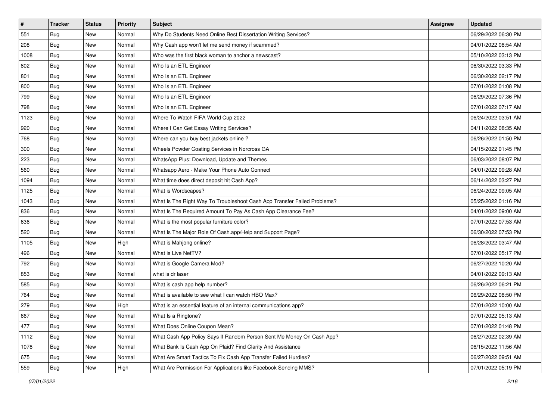| $\vert$ # | <b>Tracker</b> | <b>Status</b> | <b>Priority</b> | Subject                                                                  | <b>Assignee</b> | <b>Updated</b>      |
|-----------|----------------|---------------|-----------------|--------------------------------------------------------------------------|-----------------|---------------------|
| 551       | <b>Bug</b>     | New           | Normal          | Why Do Students Need Online Best Dissertation Writing Services?          |                 | 06/29/2022 06:30 PM |
| 208       | Bug            | New           | Normal          | Why Cash app won't let me send money if scammed?                         |                 | 04/01/2022 08:54 AM |
| 1008      | Bug            | New           | Normal          | Who was the first black woman to anchor a newscast?                      |                 | 05/10/2022 03:13 PM |
| 802       | <b>Bug</b>     | New           | Normal          | Who Is an ETL Engineer                                                   |                 | 06/30/2022 03:33 PM |
| 801       | <b>Bug</b>     | <b>New</b>    | Normal          | Who Is an ETL Engineer                                                   |                 | 06/30/2022 02:17 PM |
| 800       | <b>Bug</b>     | New           | Normal          | Who Is an ETL Engineer                                                   |                 | 07/01/2022 01:08 PM |
| 799       | Bug            | New           | Normal          | Who Is an ETL Engineer                                                   |                 | 06/29/2022 07:36 PM |
| 798       | Bug            | New           | Normal          | Who Is an ETL Engineer                                                   |                 | 07/01/2022 07:17 AM |
| 1123      | <b>Bug</b>     | New           | Normal          | Where To Watch FIFA World Cup 2022                                       |                 | 06/24/2022 03:51 AM |
| 920       | Bug            | New           | Normal          | Where I Can Get Essay Writing Services?                                  |                 | 04/11/2022 08:35 AM |
| 768       | <b>Bug</b>     | New           | Normal          | Where can you buy best jackets online?                                   |                 | 06/26/2022 01:50 PM |
| 300       | Bug            | New           | Normal          | Wheels Powder Coating Services in Norcross GA                            |                 | 04/15/2022 01:45 PM |
| 223       | Bug            | New           | Normal          | WhatsApp Plus: Download, Update and Themes                               |                 | 06/03/2022 08:07 PM |
| 560       | <b>Bug</b>     | New           | Normal          | Whatsapp Aero - Make Your Phone Auto Connect                             |                 | 04/01/2022 09:28 AM |
| 1094      | <b>Bug</b>     | New           | Normal          | What time does direct deposit hit Cash App?                              |                 | 06/14/2022 03:27 PM |
| 1125      | Bug            | New           | Normal          | What is Wordscapes?                                                      |                 | 06/24/2022 09:05 AM |
| 1043      | <b>Bug</b>     | New           | Normal          | What Is The Right Way To Troubleshoot Cash App Transfer Failed Problems? |                 | 05/25/2022 01:16 PM |
| 836       | Bug            | New           | Normal          | What Is The Required Amount To Pay As Cash App Clearance Fee?            |                 | 04/01/2022 09:00 AM |
| 636       | <b>Bug</b>     | New           | Normal          | What is the most popular furniture color?                                |                 | 07/01/2022 07:53 AM |
| 520       | <b>Bug</b>     | New           | Normal          | What Is The Major Role Of Cash.app/Help and Support Page?                |                 | 06/30/2022 07:53 PM |
| 1105      | <b>Bug</b>     | New           | High            | What is Mahjong online?                                                  |                 | 06/28/2022 03:47 AM |
| 496       | <b>Bug</b>     | New           | Normal          | What is Live NetTV?                                                      |                 | 07/01/2022 05:17 PM |
| 792       | Bug            | New           | Normal          | What is Google Camera Mod?                                               |                 | 06/27/2022 10:20 AM |
| 853       | <b>Bug</b>     | New           | Normal          | what is dr laser                                                         |                 | 04/01/2022 09:13 AM |
| 585       | Bug            | New           | Normal          | What is cash app help number?                                            |                 | 06/26/2022 06:21 PM |
| 764       | Bug            | New           | Normal          | What is available to see what I can watch HBO Max?                       |                 | 06/29/2022 08:50 PM |
| 279       | <b>Bug</b>     | New           | High            | What is an essential feature of an internal communications app?          |                 | 07/01/2022 10:00 AM |
| 667       | <b>Bug</b>     | New           | Normal          | What Is a Ringtone?                                                      |                 | 07/01/2022 05:13 AM |
| 477       | <b>Bug</b>     | New           | Normal          | What Does Online Coupon Mean?                                            |                 | 07/01/2022 01:48 PM |
| 1112      | Bug            | New           | Normal          | What Cash App Policy Says If Random Person Sent Me Money On Cash App?    |                 | 06/27/2022 02:39 AM |
| 1078      | Bug            | New           | Normal          | What Bank Is Cash App On Plaid? Find Clarity And Assistance              |                 | 06/15/2022 11:56 AM |
| 675       | <b>Bug</b>     | New           | Normal          | What Are Smart Tactics To Fix Cash App Transfer Failed Hurdles?          |                 | 06/27/2022 09:51 AM |
| 559       | Bug            | New           | High            | What Are Permission For Applications like Facebook Sending MMS?          |                 | 07/01/2022 05:19 PM |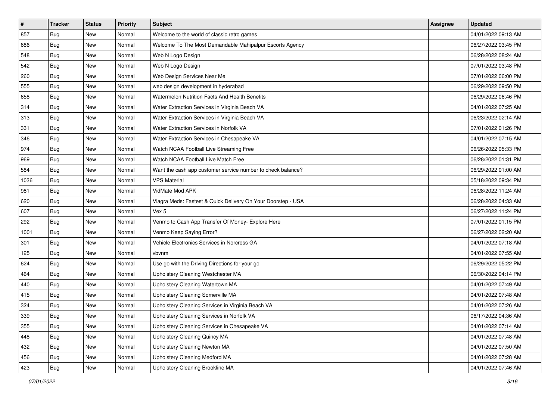| $\vert$ # | <b>Tracker</b> | <b>Status</b> | <b>Priority</b> | Subject                                                      | Assignee | <b>Updated</b>      |
|-----------|----------------|---------------|-----------------|--------------------------------------------------------------|----------|---------------------|
| 857       | <b>Bug</b>     | New           | Normal          | Welcome to the world of classic retro games                  |          | 04/01/2022 09:13 AM |
| 686       | Bug            | New           | Normal          | Welcome To The Most Demandable Mahipalpur Escorts Agency     |          | 06/27/2022 03:45 PM |
| 548       | Bug            | New           | Normal          | Web N Logo Design                                            |          | 06/28/2022 08:24 AM |
| 542       | <b>Bug</b>     | New           | Normal          | Web N Logo Design                                            |          | 07/01/2022 03:48 PM |
| 260       | Bug            | <b>New</b>    | Normal          | Web Design Services Near Me                                  |          | 07/01/2022 06:00 PM |
| 555       | <b>Bug</b>     | New           | Normal          | web design development in hyderabad                          |          | 06/29/2022 09:50 PM |
| 658       | Bug            | New           | Normal          | Watermelon Nutrition Facts And Health Benefits               |          | 06/29/2022 06:46 PM |
| 314       | <b>Bug</b>     | New           | Normal          | Water Extraction Services in Virginia Beach VA               |          | 04/01/2022 07:25 AM |
| 313       | Bug            | New           | Normal          | Water Extraction Services in Virginia Beach VA               |          | 06/23/2022 02:14 AM |
| 331       | Bug            | New           | Normal          | Water Extraction Services in Norfolk VA                      |          | 07/01/2022 01:26 PM |
| 346       | <b>Bug</b>     | New           | Normal          | Water Extraction Services in Chesapeake VA                   |          | 04/01/2022 07:15 AM |
| 974       | Bug            | New           | Normal          | Watch NCAA Football Live Streaming Free                      |          | 06/26/2022 05:33 PM |
| 969       | Bug            | New           | Normal          | Watch NCAA Football Live Match Free                          |          | 06/28/2022 01:31 PM |
| 584       | <b>Bug</b>     | New           | Normal          | Want the cash app customer service number to check balance?  |          | 06/29/2022 01:00 AM |
| 1036      | Bug            | New           | Normal          | <b>VPS Material</b>                                          |          | 05/18/2022 09:34 PM |
| 981       | Bug            | New           | Normal          | VidMate Mod APK                                              |          | 06/28/2022 11:24 AM |
| 620       | <b>Bug</b>     | New           | Normal          | Viagra Meds: Fastest & Quick Delivery On Your Doorstep - USA |          | 06/28/2022 04:33 AM |
| 607       | Bug            | <b>New</b>    | Normal          | Vex 5                                                        |          | 06/27/2022 11:24 PM |
| 292       | <b>Bug</b>     | New           | Normal          | Venmo to Cash App Transfer Of Money- Explore Here            |          | 07/01/2022 01:15 PM |
| 1001      | <b>Bug</b>     | New           | Normal          | Venmo Keep Saying Error?                                     |          | 06/27/2022 02:20 AM |
| 301       | <b>Bug</b>     | New           | Normal          | Vehicle Electronics Services in Norcross GA                  |          | 04/01/2022 07:18 AM |
| 125       | Bug            | New           | Normal          | vbvnm                                                        |          | 04/01/2022 07:55 AM |
| 624       | Bug            | <b>New</b>    | Normal          | Use go with the Driving Directions for your go               |          | 06/29/2022 05:22 PM |
| 464       | Bug            | New           | Normal          | Upholstery Cleaning Westchester MA                           |          | 06/30/2022 04:14 PM |
| 440       | Bug            | New           | Normal          | Upholstery Cleaning Watertown MA                             |          | 04/01/2022 07:49 AM |
| 415       | <b>Bug</b>     | New           | Normal          | <b>Upholstery Cleaning Somerville MA</b>                     |          | 04/01/2022 07:48 AM |
| 324       | Bug            | New           | Normal          | Upholstery Cleaning Services in Virginia Beach VA            |          | 04/01/2022 07:26 AM |
| 339       | I Bug          | New           | Normal          | Upholstery Cleaning Services in Norfolk VA                   |          | 06/17/2022 04:36 AM |
| 355       | <b>Bug</b>     | New           | Normal          | Upholstery Cleaning Services in Chesapeake VA                |          | 04/01/2022 07:14 AM |
| 448       | <b>Bug</b>     | New           | Normal          | Upholstery Cleaning Quincy MA                                |          | 04/01/2022 07:48 AM |
| 432       | <b>Bug</b>     | New           | Normal          | Upholstery Cleaning Newton MA                                |          | 04/01/2022 07:50 AM |
| 456       | <b>Bug</b>     | New           | Normal          | Upholstery Cleaning Medford MA                               |          | 04/01/2022 07:28 AM |
| 423       | <b>Bug</b>     | New           | Normal          | Upholstery Cleaning Brookline MA                             |          | 04/01/2022 07:46 AM |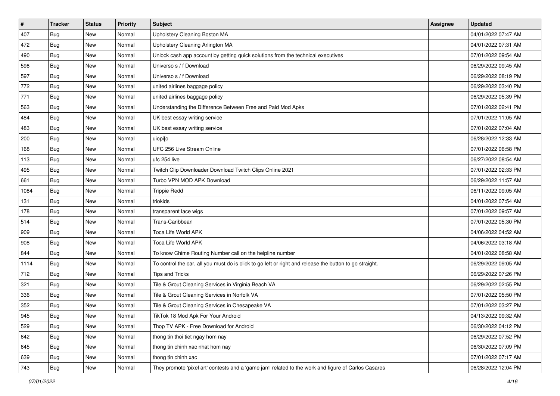| $\vert$ # | <b>Tracker</b> | <b>Status</b> | <b>Priority</b> | Subject                                                                                                 | Assignee | <b>Updated</b>      |
|-----------|----------------|---------------|-----------------|---------------------------------------------------------------------------------------------------------|----------|---------------------|
| 407       | Bug            | New           | Normal          | Upholstery Cleaning Boston MA                                                                           |          | 04/01/2022 07:47 AM |
| 472       | <b>Bug</b>     | <b>New</b>    | Normal          | Upholstery Cleaning Arlington MA                                                                        |          | 04/01/2022 07:31 AM |
| 490       | Bug            | New           | Normal          | Unlock cash app account by getting quick solutions from the technical executives                        |          | 07/01/2022 09:54 AM |
| 598       | <b>Bug</b>     | <b>New</b>    | Normal          | Universo s / f Download                                                                                 |          | 06/29/2022 09:45 AM |
| 597       | <b>Bug</b>     | <b>New</b>    | Normal          | Universo s / f Download                                                                                 |          | 06/29/2022 08:19 PM |
| 772       | Bug            | New           | Normal          | united airlines baggage policy                                                                          |          | 06/29/2022 03:40 PM |
| 771       | Bug            | New           | Normal          | united airlines baggage policy                                                                          |          | 06/29/2022 05:39 PM |
| 563       | Bug            | New           | Normal          | Understanding the Difference Between Free and Paid Mod Apks                                             |          | 07/01/2022 02:41 PM |
| 484       | <b>Bug</b>     | <b>New</b>    | Normal          | UK best essay writing service                                                                           |          | 07/01/2022 11:05 AM |
| 483       | Bug            | <b>New</b>    | Normal          | UK best essay writing service                                                                           |          | 07/01/2022 07:04 AM |
| 200       | <b>Bug</b>     | New           | Normal          | uiopi[o                                                                                                 |          | 06/28/2022 12:33 AM |
| 168       | <b>Bug</b>     | New           | Normal          | UFC 256 Live Stream Online                                                                              |          | 07/01/2022 06:58 PM |
| 113       | Bug            | New           | Normal          | ufc 254 live                                                                                            |          | 06/27/2022 08:54 AM |
| 495       | <b>Bug</b>     | New           | Normal          | Twitch Clip Downloader Download Twitch Clips Online 2021                                                |          | 07/01/2022 02:33 PM |
| 661       | Bug            | <b>New</b>    | Normal          | Turbo VPN MOD APK Download                                                                              |          | 06/29/2022 11:57 AM |
| 1084      | Bug            | New           | Normal          | <b>Trippie Redd</b>                                                                                     |          | 06/11/2022 09:05 AM |
| 131       | <b>Bug</b>     | <b>New</b>    | Normal          | triokids                                                                                                |          | 04/01/2022 07:54 AM |
| 178       | Bug            | <b>New</b>    | Normal          | transparent lace wigs                                                                                   |          | 07/01/2022 09:57 AM |
| 514       | Bug            | New           | Normal          | Trans-Caribbean                                                                                         |          | 07/01/2022 05:30 PM |
| 909       | <b>Bug</b>     | New           | Normal          | Toca Life World APK                                                                                     |          | 04/06/2022 04:52 AM |
| 908       | <b>Bug</b>     | New           | Normal          | Toca Life World APK                                                                                     |          | 04/06/2022 03:18 AM |
| 844       | <b>Bug</b>     | <b>New</b>    | Normal          | To know Chime Routing Number call on the helpline number                                                |          | 04/01/2022 08:58 AM |
| 1114      | Bug            | <b>New</b>    | Normal          | To control the car, all you must do is click to go left or right and release the button to go straight. |          | 06/29/2022 09:05 AM |
| 712       | <b>Bug</b>     | New           | Normal          | Tips and Tricks                                                                                         |          | 06/29/2022 07:26 PM |
| 321       | Bug            | New           | Normal          | Tile & Grout Cleaning Services in Virginia Beach VA                                                     |          | 06/29/2022 02:55 PM |
| 336       | Bug            | New           | Normal          | Tile & Grout Cleaning Services in Norfolk VA                                                            |          | 07/01/2022 05:50 PM |
| 352       | <b>Bug</b>     | New           | Normal          | Tile & Grout Cleaning Services in Chesapeake VA                                                         |          | 07/01/2022 03:27 PM |
| 945       | <b>Bug</b>     | New           | Normal          | TikTok 18 Mod Apk For Your Android                                                                      |          | 04/13/2022 09:32 AM |
| 529       | <b>Bug</b>     | New           | Normal          | Thop TV APK - Free Download for Android                                                                 |          | 06/30/2022 04:12 PM |
| 642       | Bug            | New           | Normal          | thong tin thoi tiet ngay hom nay                                                                        |          | 06/29/2022 07:52 PM |
| 645       | <b>Bug</b>     | New           | Normal          | thong tin chinh xac nhat hom nay                                                                        |          | 06/30/2022 07:09 PM |
| 639       | <b>Bug</b>     | New           | Normal          | thong tin chinh xac                                                                                     |          | 07/01/2022 07:17 AM |
| 743       | Bug            | New           | Normal          | They promote 'pixel art' contests and a 'game jam' related to the work and figure of Carlos Casares     |          | 06/28/2022 12:04 PM |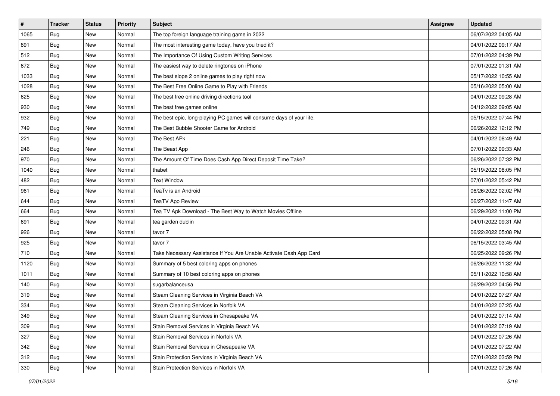| $\sharp$ | <b>Tracker</b> | <b>Status</b> | <b>Priority</b> | <b>Subject</b>                                                       | Assignee | <b>Updated</b>      |
|----------|----------------|---------------|-----------------|----------------------------------------------------------------------|----------|---------------------|
| 1065     | <b>Bug</b>     | New           | Normal          | The top foreign language training game in 2022                       |          | 06/07/2022 04:05 AM |
| 891      | Bug            | New           | Normal          | The most interesting game today, have you tried it?                  |          | 04/01/2022 09:17 AM |
| 512      | Bug            | New           | Normal          | The Importance Of Using Custom Writing Services                      |          | 07/01/2022 04:39 PM |
| 672      | <b>Bug</b>     | New           | Normal          | The easiest way to delete ringtones on iPhone                        |          | 07/01/2022 01:31 AM |
| 1033     | <b>Bug</b>     | <b>New</b>    | Normal          | The best slope 2 online games to play right now                      |          | 05/17/2022 10:55 AM |
| 1028     | <b>Bug</b>     | New           | Normal          | The Best Free Online Game to Play with Friends                       |          | 05/16/2022 05:00 AM |
| 625      | Bug            | New           | Normal          | The best free online driving directions tool                         |          | 04/01/2022 09:28 AM |
| 930      | Bug            | New           | Normal          | The best free games online                                           |          | 04/12/2022 09:05 AM |
| 932      | Bug            | New           | Normal          | The best epic, long-playing PC games will consume days of your life. |          | 05/15/2022 07:44 PM |
| 749      | Bug            | <b>New</b>    | Normal          | The Best Bubble Shooter Game for Android                             |          | 06/26/2022 12:12 PM |
| 221      | <b>Bug</b>     | New           | Normal          | The Best APk                                                         |          | 04/01/2022 08:49 AM |
| 246      | <b>Bug</b>     | New           | Normal          | The Beast App                                                        |          | 07/01/2022 09:33 AM |
| 970      | Bug            | New           | Normal          | The Amount Of Time Does Cash App Direct Deposit Time Take?           |          | 06/26/2022 07:32 PM |
| 1040     | <b>Bug</b>     | New           | Normal          | thabet                                                               |          | 05/19/2022 08:05 PM |
| 482      | <b>Bug</b>     | <b>New</b>    | Normal          | <b>Text Window</b>                                                   |          | 07/01/2022 05:42 PM |
| 961      | Bug            | New           | Normal          | TeaTv is an Android                                                  |          | 06/26/2022 02:02 PM |
| 644      | <b>Bug</b>     | New           | Normal          | <b>TeaTV App Review</b>                                              |          | 06/27/2022 11:47 AM |
| 664      | Bug            | New           | Normal          | Tea TV Apk Download - The Best Way to Watch Movies Offline           |          | 06/29/2022 11:00 PM |
| 691      | Bug            | New           | Normal          | tea garden dublin                                                    |          | 04/01/2022 09:31 AM |
| 926      | <b>Bug</b>     | New           | Normal          | tavor 7                                                              |          | 06/22/2022 05:08 PM |
| 925      | <b>Bug</b>     | New           | Normal          | tavor 7                                                              |          | 06/15/2022 03:45 AM |
| 710      | <b>Bug</b>     | <b>New</b>    | Normal          | Take Necessary Assistance If You Are Unable Activate Cash App Card   |          | 06/25/2022 09:26 PM |
| 1120     | Bug            | <b>New</b>    | Normal          | Summary of 5 best coloring apps on phones                            |          | 06/26/2022 11:32 AM |
| 1011     | Bug            | New           | Normal          | Summary of 10 best coloring apps on phones                           |          | 05/11/2022 10:58 AM |
| 140      | Bug            | New           | Normal          | sugarbalanceusa                                                      |          | 06/29/2022 04:56 PM |
| 319      | Bug            | New           | Normal          | Steam Cleaning Services in Virginia Beach VA                         |          | 04/01/2022 07:27 AM |
| 334      | <b>Bug</b>     | New           | Normal          | Steam Cleaning Services in Norfolk VA                                |          | 04/01/2022 07:25 AM |
| 349      | <b>Bug</b>     | New           | Normal          | Steam Cleaning Services in Chesapeake VA                             |          | 04/01/2022 07:14 AM |
| 309      | <b>Bug</b>     | New           | Normal          | Stain Removal Services in Virginia Beach VA                          |          | 04/01/2022 07:19 AM |
| 327      | <b>Bug</b>     | New           | Normal          | Stain Removal Services in Norfolk VA                                 |          | 04/01/2022 07:26 AM |
| 342      | <b>Bug</b>     | New           | Normal          | Stain Removal Services in Chesapeake VA                              |          | 04/01/2022 07:22 AM |
| 312      | <b>Bug</b>     | New           | Normal          | Stain Protection Services in Virginia Beach VA                       |          | 07/01/2022 03:59 PM |
| 330      | Bug            | New           | Normal          | Stain Protection Services in Norfolk VA                              |          | 04/01/2022 07:26 AM |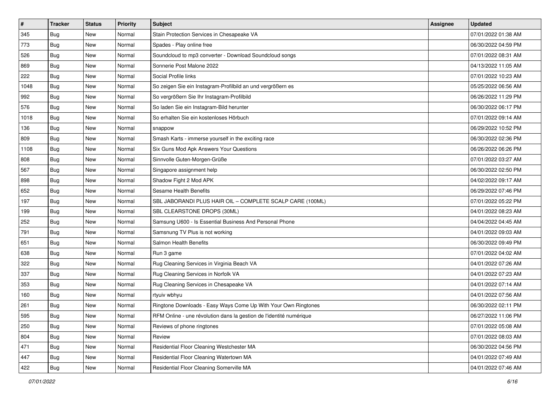| $\sharp$ | <b>Tracker</b> | <b>Status</b> | <b>Priority</b> | Subject                                                             | Assignee | <b>Updated</b>      |
|----------|----------------|---------------|-----------------|---------------------------------------------------------------------|----------|---------------------|
| 345      | <b>Bug</b>     | New           | Normal          | Stain Protection Services in Chesapeake VA                          |          | 07/01/2022 01:38 AM |
| 773      | <b>Bug</b>     | New           | Normal          | Spades - Play online free                                           |          | 06/30/2022 04:59 PM |
| 526      | Bug            | New           | Normal          | Soundcloud to mp3 converter - Download Soundcloud songs             |          | 07/01/2022 08:31 AM |
| 869      | <b>Bug</b>     | <b>New</b>    | Normal          | Sonnerie Post Malone 2022                                           |          | 04/13/2022 11:05 AM |
| 222      | Bug            | New           | Normal          | Social Profile links                                                |          | 07/01/2022 10:23 AM |
| 1048     | <b>Bug</b>     | <b>New</b>    | Normal          | So zeigen Sie ein Instagram-Profilbild an und vergrößern es         |          | 05/25/2022 06:56 AM |
| 992      | Bug            | New           | Normal          | So vergrößern Sie Ihr Instagram-Profilbild                          |          | 06/26/2022 11:29 PM |
| 576      | Bug            | New           | Normal          | So laden Sie ein Instagram-Bild herunter                            |          | 06/30/2022 06:17 PM |
| 1018     | <b>Bug</b>     | New           | Normal          | So erhalten Sie ein kostenloses Hörbuch                             |          | 07/01/2022 09:14 AM |
| 136      | Bug            | New           | Normal          | snappow                                                             |          | 06/29/2022 10:52 PM |
| 809      | Bug            | New           | Normal          | Smash Karts - immerse yourself in the exciting race                 |          | 06/30/2022 02:36 PM |
| 1108     | <b>Bug</b>     | New           | Normal          | Six Guns Mod Apk Answers Your Questions                             |          | 06/26/2022 06:26 PM |
| 808      | Bug            | <b>New</b>    | Normal          | Sinnvolle Guten-Morgen-Grüße                                        |          | 07/01/2022 03:27 AM |
| 567      | <b>Bug</b>     | New           | Normal          | Singapore assignment help                                           |          | 06/30/2022 02:50 PM |
| 898      | Bug            | <b>New</b>    | Normal          | Shadow Fight 2 Mod APK                                              |          | 04/02/2022 09:17 AM |
| 652      | Bug            | New           | Normal          | <b>Sesame Health Benefits</b>                                       |          | 06/29/2022 07:46 PM |
| 197      | <b>Bug</b>     | <b>New</b>    | Normal          | SBL JABORANDI PLUS HAIR OIL - COMPLETE SCALP CARE (100ML)           |          | 07/01/2022 05:22 PM |
| 199      | Bug            | New           | Normal          | SBL CLEARSTONE DROPS (30ML)                                         |          | 04/01/2022 08:23 AM |
| 252      | Bug            | New           | Normal          | Samsung U600 - Is Essential Business And Personal Phone             |          | 04/04/2022 04:45 AM |
| 791      | Bug            | New           | Normal          | Samsnung TV Plus is not working                                     |          | 04/01/2022 09:03 AM |
| 651      | Bug            | New           | Normal          | Salmon Health Benefits                                              |          | 06/30/2022 09:49 PM |
| 638      | <b>Bug</b>     | <b>New</b>    | Normal          | Run 3 game                                                          |          | 07/01/2022 04:02 AM |
| 322      | Bug            | New           | Normal          | Rug Cleaning Services in Virginia Beach VA                          |          | 04/01/2022 07:26 AM |
| 337      | Bug            | New           | Normal          | Rug Cleaning Services in Norfolk VA                                 |          | 04/01/2022 07:23 AM |
| 353      | Bug            | New           | Normal          | Rug Cleaning Services in Chesapeake VA                              |          | 04/01/2022 07:14 AM |
| 160      | Bug            | New           | Normal          | rtyuiv wbhyu                                                        |          | 04/01/2022 07:56 AM |
| 261      | <b>Bug</b>     | New           | Normal          | Ringtone Downloads - Easy Ways Come Up With Your Own Ringtones      |          | 06/30/2022 02:11 PM |
| 595      | <b>Bug</b>     | New           | Normal          | RFM Online - une révolution dans la gestion de l'identité numérique |          | 06/27/2022 11:06 PM |
| 250      | <b>Bug</b>     | New           | Normal          | Reviews of phone ringtones                                          |          | 07/01/2022 05:08 AM |
| 804      | <b>Bug</b>     | New           | Normal          | Review                                                              |          | 07/01/2022 08:03 AM |
| 471      | <b>Bug</b>     | New           | Normal          | Residential Floor Cleaning Westchester MA                           |          | 06/30/2022 04:56 PM |
| 447      | <b>Bug</b>     | New           | Normal          | Residential Floor Cleaning Watertown MA                             |          | 04/01/2022 07:49 AM |
| 422      | <b>Bug</b>     | New           | Normal          | Residential Floor Cleaning Somerville MA                            |          | 04/01/2022 07:46 AM |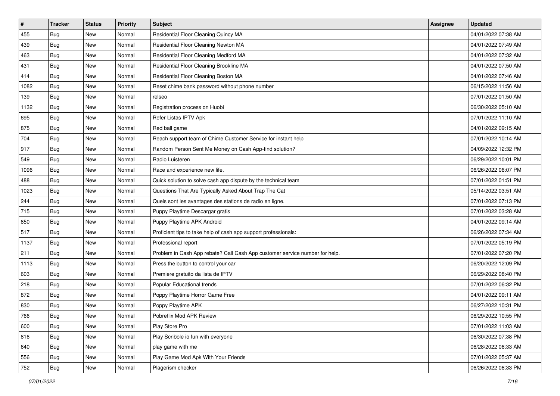| $\sharp$ | <b>Tracker</b> | <b>Status</b> | <b>Priority</b> | <b>Subject</b>                                                              | <b>Assignee</b> | <b>Updated</b>      |
|----------|----------------|---------------|-----------------|-----------------------------------------------------------------------------|-----------------|---------------------|
| 455      | Bug            | New           | Normal          | Residential Floor Cleaning Quincy MA                                        |                 | 04/01/2022 07:38 AM |
| 439      | <b>Bug</b>     | New           | Normal          | Residential Floor Cleaning Newton MA                                        |                 | 04/01/2022 07:49 AM |
| 463      | Bug            | New           | Normal          | Residential Floor Cleaning Medford MA                                       |                 | 04/01/2022 07:32 AM |
| 431      | <b>Bug</b>     | New           | Normal          | Residential Floor Cleaning Brookline MA                                     |                 | 04/01/2022 07:50 AM |
| 414      | Bug            | <b>New</b>    | Normal          | Residential Floor Cleaning Boston MA                                        |                 | 04/01/2022 07:46 AM |
| 1082     | <b>Bug</b>     | New           | Normal          | Reset chime bank password without phone number                              |                 | 06/15/2022 11:56 AM |
| 139      | Bug            | New           | Normal          | relseo                                                                      |                 | 07/01/2022 01:50 AM |
| 1132     | Bug            | New           | Normal          | Registration process on Huobi                                               |                 | 06/30/2022 05:10 AM |
| 695      | <b>Bug</b>     | New           | Normal          | Refer Listas IPTV Apk                                                       |                 | 07/01/2022 11:10 AM |
| 875      | Bug            | <b>New</b>    | Normal          | Red ball game                                                               |                 | 04/01/2022 09:15 AM |
| 704      | <b>Bug</b>     | New           | Normal          | Reach support team of Chime Customer Service for instant help               |                 | 07/01/2022 10:14 AM |
| 917      | <b>Bug</b>     | New           | Normal          | Random Person Sent Me Money on Cash App-find solution?                      |                 | 04/09/2022 12:32 PM |
| 549      | Bug            | New           | Normal          | Radio Luisteren                                                             |                 | 06/29/2022 10:01 PM |
| 1096     | <b>Bug</b>     | New           | Normal          | Race and experience new life.                                               |                 | 06/26/2022 06:07 PM |
| 488      | Bug            | New           | Normal          | Quick solution to solve cash app dispute by the technical team              |                 | 07/01/2022 01:51 PM |
| 1023     | Bug            | New           | Normal          | Questions That Are Typically Asked About Trap The Cat                       |                 | 05/14/2022 03:51 AM |
| 244      | <b>Bug</b>     | <b>New</b>    | Normal          | Quels sont les avantages des stations de radio en ligne.                    |                 | 07/01/2022 07:13 PM |
| 715      | Bug            | New           | Normal          | Puppy Playtime Descargar gratis                                             |                 | 07/01/2022 03:28 AM |
| 850      | Bug            | New           | Normal          | Puppy Playtime APK Android                                                  |                 | 04/01/2022 09:14 AM |
| 517      | Bug            | <b>New</b>    | Normal          | Proficient tips to take help of cash app support professionals:             |                 | 06/26/2022 07:34 AM |
| 1137     | Bug            | New           | Normal          | Professional report                                                         |                 | 07/01/2022 05:19 PM |
| 211      | <b>Bug</b>     | <b>New</b>    | Normal          | Problem in Cash App rebate? Call Cash App customer service number for help. |                 | 07/01/2022 07:20 PM |
| 1113     | Bug            | <b>New</b>    | Normal          | Press the button to control your car                                        |                 | 06/20/2022 12:09 PM |
| 603      | <b>Bug</b>     | New           | Normal          | Premiere gratuito da lista de IPTV                                          |                 | 06/29/2022 08:40 PM |
| 218      | Bug            | New           | Normal          | Popular Educational trends                                                  |                 | 07/01/2022 06:32 PM |
| 872      | Bug            | New           | Normal          | Poppy Playtime Horror Game Free                                             |                 | 04/01/2022 09:11 AM |
| 830      | <b>Bug</b>     | New           | Normal          | Poppy Playtime APK                                                          |                 | 06/27/2022 10:31 PM |
| 766      | <b>Bug</b>     | New           | Normal          | Pobreflix Mod APK Review                                                    |                 | 06/29/2022 10:55 PM |
| 600      | Bug            | New           | Normal          | Play Store Pro                                                              |                 | 07/01/2022 11:03 AM |
| 816      | <b>Bug</b>     | New           | Normal          | Play Scribble io fun with everyone                                          |                 | 06/30/2022 07:38 PM |
| 640      | <b>Bug</b>     | New           | Normal          | play game with me                                                           |                 | 06/28/2022 06:33 AM |
| 556      | Bug            | New           | Normal          | Play Game Mod Apk With Your Friends                                         |                 | 07/01/2022 05:37 AM |
| 752      | <b>Bug</b>     | New           | Normal          | Plagerism checker                                                           |                 | 06/26/2022 06:33 PM |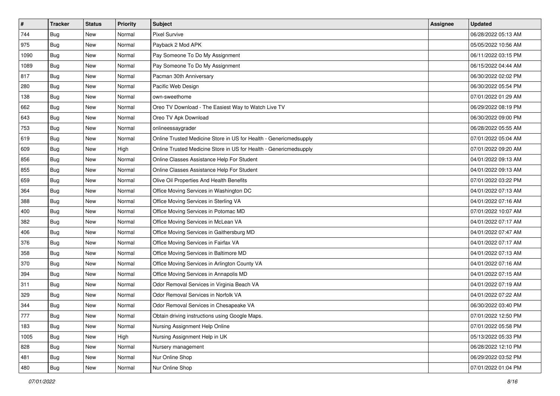| $\sharp$ | <b>Tracker</b> | <b>Status</b> | <b>Priority</b> | <b>Subject</b>                                                    | Assignee | <b>Updated</b>      |
|----------|----------------|---------------|-----------------|-------------------------------------------------------------------|----------|---------------------|
| 744      | <b>Bug</b>     | New           | Normal          | <b>Pixel Survive</b>                                              |          | 06/28/2022 05:13 AM |
| 975      | Bug            | New           | Normal          | Payback 2 Mod APK                                                 |          | 05/05/2022 10:56 AM |
| 1090     | Bug            | New           | Normal          | Pay Someone To Do My Assignment                                   |          | 06/11/2022 03:15 PM |
| 1089     | <b>Bug</b>     | <b>New</b>    | Normal          | Pay Someone To Do My Assignment                                   |          | 06/15/2022 04:44 AM |
| 817      | <b>Bug</b>     | <b>New</b>    | Normal          | Pacman 30th Anniversary                                           |          | 06/30/2022 02:02 PM |
| 280      | <b>Bug</b>     | New           | Normal          | Pacific Web Design                                                |          | 06/30/2022 05:54 PM |
| 138      | <b>Bug</b>     | <b>New</b>    | Normal          | own-sweethome                                                     |          | 07/01/2022 01:29 AM |
| 662      | Bug            | New           | Normal          | Oreo TV Download - The Easiest Way to Watch Live TV               |          | 06/29/2022 08:19 PM |
| 643      | <b>Bug</b>     | New           | Normal          | Oreo TV Apk Download                                              |          | 06/30/2022 09:00 PM |
| 753      | <b>Bug</b>     | <b>New</b>    | Normal          | onlineessaygrader                                                 |          | 06/28/2022 05:55 AM |
| 619      | <b>Bug</b>     | New           | Normal          | Online Trusted Medicine Store in US for Health - Genericmedsupply |          | 07/01/2022 05:04 AM |
| 609      | <b>Bug</b>     | New           | High            | Online Trusted Medicine Store in US for Health - Genericmedsupply |          | 07/01/2022 09:20 AM |
| 856      | Bug            | <b>New</b>    | Normal          | Online Classes Assistance Help For Student                        |          | 04/01/2022 09:13 AM |
| 855      | <b>Bug</b>     | New           | Normal          | Online Classes Assistance Help For Student                        |          | 04/01/2022 09:13 AM |
| 659      | <b>Bug</b>     | <b>New</b>    | Normal          | Olive Oil Properties And Health Benefits                          |          | 07/01/2022 03:22 PM |
| 364      | <b>Bug</b>     | New           | Normal          | Office Moving Services in Washington DC                           |          | 04/01/2022 07:13 AM |
| 388      | <b>Bug</b>     | <b>New</b>    | Normal          | Office Moving Services in Sterling VA                             |          | 04/01/2022 07:16 AM |
| 400      | Bug            | <b>New</b>    | Normal          | Office Moving Services in Potomac MD                              |          | 07/01/2022 10:07 AM |
| 382      | Bug            | New           | Normal          | Office Moving Services in McLean VA                               |          | 04/01/2022 07:17 AM |
| 406      | Bug            | <b>New</b>    | Normal          | Office Moving Services in Gaithersburg MD                         |          | 04/01/2022 07:47 AM |
| 376      | <b>Bug</b>     | New           | Normal          | Office Moving Services in Fairfax VA                              |          | 04/01/2022 07:17 AM |
| 358      | <b>Bug</b>     | New           | Normal          | Office Moving Services in Baltimore MD                            |          | 04/01/2022 07:13 AM |
| 370      | Bug            | <b>New</b>    | Normal          | Office Moving Services in Arlington County VA                     |          | 04/01/2022 07:16 AM |
| 394      | <b>Bug</b>     | New           | Normal          | Office Moving Services in Annapolis MD                            |          | 04/01/2022 07:15 AM |
| 311      | <b>Bug</b>     | New           | Normal          | Odor Removal Services in Virginia Beach VA                        |          | 04/01/2022 07:19 AM |
| 329      | <b>Bug</b>     | <b>New</b>    | Normal          | Odor Removal Services in Norfolk VA                               |          | 04/01/2022 07:22 AM |
| 344      | <b>Bug</b>     | New           | Normal          | Odor Removal Services in Chesapeake VA                            |          | 06/30/2022 03:40 PM |
| $777\,$  | <b>Bug</b>     | New           | Normal          | Obtain driving instructions using Google Maps.                    |          | 07/01/2022 12:50 PM |
| 183      | Bug            | New           | Normal          | Nursing Assignment Help Online                                    |          | 07/01/2022 05:58 PM |
| 1005     | <b>Bug</b>     | New           | High            | Nursing Assignment Help in UK                                     |          | 05/13/2022 05:33 PM |
| 828      | Bug            | New           | Normal          | Nursery management                                                |          | 06/28/2022 12:10 PM |
| 481      | <b>Bug</b>     | New           | Normal          | Nur Online Shop                                                   |          | 06/29/2022 03:52 PM |
| 480      | Bug            | New           | Normal          | Nur Online Shop                                                   |          | 07/01/2022 01:04 PM |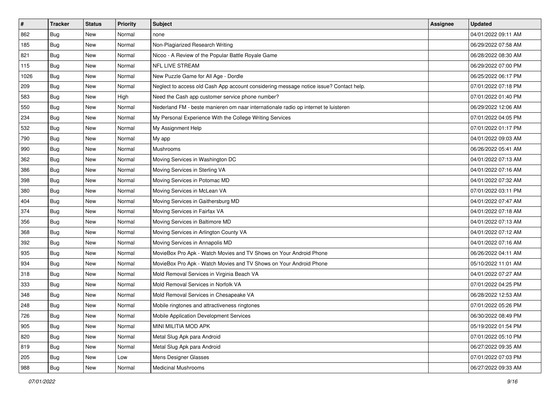| $\sharp$ | <b>Tracker</b> | <b>Status</b> | <b>Priority</b> | Subject                                                                                | Assignee | <b>Updated</b>      |
|----------|----------------|---------------|-----------------|----------------------------------------------------------------------------------------|----------|---------------------|
| 862      | <b>Bug</b>     | New           | Normal          | none                                                                                   |          | 04/01/2022 09:11 AM |
| 185      | Bug            | New           | Normal          | Non-Plagiarized Research Writing                                                       |          | 06/29/2022 07:58 AM |
| 821      | Bug            | New           | Normal          | Nicoo - A Review of the Popular Battle Royale Game                                     |          | 06/28/2022 08:30 AM |
| 115      | <b>Bug</b>     | <b>New</b>    | Normal          | <b>NFL LIVE STREAM</b>                                                                 |          | 06/29/2022 07:00 PM |
| 1026     | <b>Bug</b>     | <b>New</b>    | Normal          | New Puzzle Game for All Age - Dordle                                                   |          | 06/25/2022 06:17 PM |
| 209      | <b>Bug</b>     | New           | Normal          | Neglect to access old Cash App account considering message notice issue? Contact help. |          | 07/01/2022 07:18 PM |
| 583      | <b>Bug</b>     | <b>New</b>    | High            | Need the Cash app customer service phone number?                                       |          | 07/01/2022 01:40 PM |
| 550      | Bug            | <b>New</b>    | Normal          | Nederland FM - beste manieren om naar internationale radio op internet te luisteren    |          | 06/29/2022 12:06 AM |
| 234      | Bug            | New           | Normal          | My Personal Experience With the College Writing Services                               |          | 07/01/2022 04:05 PM |
| 532      | <b>Bug</b>     | <b>New</b>    | Normal          | My Assignment Help                                                                     |          | 07/01/2022 01:17 PM |
| 790      | <b>Bug</b>     | New           | Normal          | My app                                                                                 |          | 04/01/2022 09:03 AM |
| 990      | <b>Bug</b>     | New           | Normal          | Mushrooms                                                                              |          | 06/26/2022 05:41 AM |
| 362      | Bug            | <b>New</b>    | Normal          | Moving Services in Washington DC                                                       |          | 04/01/2022 07:13 AM |
| 386      | <b>Bug</b>     | New           | Normal          | Moving Services in Sterling VA                                                         |          | 04/01/2022 07:16 AM |
| 398      | Bug            | <b>New</b>    | Normal          | Moving Services in Potomac MD                                                          |          | 04/01/2022 07:32 AM |
| 380      | Bug            | New           | Normal          | Moving Services in McLean VA                                                           |          | 07/01/2022 03:11 PM |
| 404      | <b>Bug</b>     | <b>New</b>    | Normal          | Moving Services in Gaithersburg MD                                                     |          | 04/01/2022 07:47 AM |
| 374      | Bug            | <b>New</b>    | Normal          | Moving Services in Fairfax VA                                                          |          | 04/01/2022 07:18 AM |
| 356      | <b>Bug</b>     | New           | Normal          | Moving Services in Baltimore MD                                                        |          | 04/01/2022 07:13 AM |
| 368      | Bug            | <b>New</b>    | Normal          | Moving Services in Arlington County VA                                                 |          | 04/01/2022 07:12 AM |
| 392      | Bug            | <b>New</b>    | Normal          | Moving Services in Annapolis MD                                                        |          | 04/01/2022 07:16 AM |
| 935      | Bug            | New           | Normal          | MovieBox Pro Apk - Watch Movies and TV Shows on Your Android Phone                     |          | 06/26/2022 04:11 AM |
| 934      | Bug            | <b>New</b>    | Normal          | MovieBox Pro Apk - Watch Movies and TV Shows on Your Android Phone                     |          | 05/10/2022 11:01 AM |
| 318      | <b>Bug</b>     | New           | Normal          | Mold Removal Services in Virginia Beach VA                                             |          | 04/01/2022 07:27 AM |
| 333      | <b>Bug</b>     | New           | Normal          | Mold Removal Services in Norfolk VA                                                    |          | 07/01/2022 04:25 PM |
| 348      | Bug            | <b>New</b>    | Normal          | Mold Removal Services in Chesapeake VA                                                 |          | 06/28/2022 12:53 AM |
| 248      | <b>Bug</b>     | New           | Normal          | Mobile ringtones and attractiveness ringtones                                          |          | 07/01/2022 05:26 PM |
| 726      | <b>Bug</b>     | New           | Normal          | Mobile Application Development Services                                                |          | 06/30/2022 08:49 PM |
| 905      | Bug            | New           | Normal          | MINI MILITIA MOD APK                                                                   |          | 05/19/2022 01:54 PM |
| 820      | <b>Bug</b>     | New           | Normal          | Metal Slug Apk para Android                                                            |          | 07/01/2022 05:10 PM |
| 819      | Bug            | New           | Normal          | Metal Slug Apk para Android                                                            |          | 06/27/2022 09:35 AM |
| 205      | <b>Bug</b>     | New           | Low             | Mens Designer Glasses                                                                  |          | 07/01/2022 07:03 PM |
| 988      | Bug            | New           | Normal          | <b>Medicinal Mushrooms</b>                                                             |          | 06/27/2022 09:33 AM |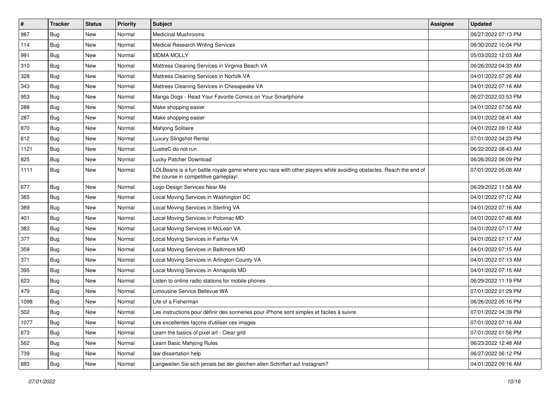| $\vert$ # | <b>Tracker</b> | <b>Status</b> | <b>Priority</b> | <b>Subject</b>                                                                                                                                           | <b>Assignee</b> | <b>Updated</b>      |
|-----------|----------------|---------------|-----------------|----------------------------------------------------------------------------------------------------------------------------------------------------------|-----------------|---------------------|
| 987       | <b>Bug</b>     | New           | Normal          | <b>Medicinal Mushrooms</b>                                                                                                                               |                 | 06/27/2022 07:13 PM |
| 114       | <b>Bug</b>     | <b>New</b>    | Normal          | <b>Medical Research Writing Services</b>                                                                                                                 |                 | 06/30/2022 10:04 PM |
| 991       | <b>Bug</b>     | New           | Normal          | <b>MDMA MOLLY</b>                                                                                                                                        |                 | 05/03/2022 12:03 AM |
| 310       | <b>Bug</b>     | New           | Normal          | Mattress Cleaning Services in Virginia Beach VA                                                                                                          |                 | 06/26/2022 04:33 AM |
| 328       | <b>Bug</b>     | New           | Normal          | Mattress Cleaning Services in Norfolk VA                                                                                                                 |                 | 04/01/2022 07:26 AM |
| 343       | <b>Bug</b>     | New           | Normal          | Mattress Cleaning Services in Chesapeake VA                                                                                                              |                 | 04/01/2022 07:16 AM |
| 953       | <b>Bug</b>     | New           | Normal          | Manga Dogs - Read Your Favorite Comics on Your Smartphone                                                                                                |                 | 06/27/2022 03:53 PM |
| 288       | Bug            | New           | Normal          | Make shopping easier                                                                                                                                     |                 | 04/01/2022 07:56 AM |
| 287       | <b>Bug</b>     | New           | Normal          | Make shopping easier                                                                                                                                     |                 | 04/01/2022 08:41 AM |
| 870       | Bug            | <b>New</b>    | Normal          | Mahjong Solitaire                                                                                                                                        |                 | 04/01/2022 09:12 AM |
| 612       | <b>Bug</b>     | New           | Normal          | Luxury Slingshot Rental                                                                                                                                  |                 | 07/01/2022 04:23 PM |
| 1121      | Bug            | New           | Normal          | LustreC do not run                                                                                                                                       |                 | 06/22/2022 08:43 AM |
| 825       | Bug            | New           | Normal          | Lucky Patcher Download                                                                                                                                   |                 | 06/26/2022 06:09 PM |
| 1111      | Bug            | New           | Normal          | LOLBeans is a fun battle royale game where you race with other players while avoiding obstacles. Reach the end of<br>the course in competitive gameplay! |                 | 07/01/2022 05:08 AM |
| 677       | <b>Bug</b>     | New           | Normal          | Logo Design Services Near Me                                                                                                                             |                 | 06/29/2022 11:58 AM |
| 365       | Bug            | New           | Normal          | Local Moving Services in Washington DC                                                                                                                   |                 | 04/01/2022 07:12 AM |
| 389       | Bug            | <b>New</b>    | Normal          | Local Moving Services in Sterling VA                                                                                                                     |                 | 04/01/2022 07:16 AM |
| 401       | Bug            | New           | Normal          | Local Moving Services in Potomac MD                                                                                                                      |                 | 04/01/2022 07:48 AM |
| 383       | <b>Bug</b>     | New           | Normal          | Local Moving Services in McLean VA                                                                                                                       |                 | 04/01/2022 07:17 AM |
| 377       | Bug            | New           | Normal          | Local Moving Services in Fairfax VA                                                                                                                      |                 | 04/01/2022 07:17 AM |
| 359       | <b>Bug</b>     | New           | Normal          | Local Moving Services in Baltimore MD                                                                                                                    |                 | 04/01/2022 07:15 AM |
| 371       | Bug            | <b>New</b>    | Normal          | Local Moving Services in Arlington County VA                                                                                                             |                 | 04/01/2022 07:13 AM |
| 395       | <b>Bug</b>     | New           | Normal          | Local Moving Services in Annapolis MD                                                                                                                    |                 | 04/01/2022 07:15 AM |
| 623       | <b>Bug</b>     | New           | Normal          | Listen to online radio stations for mobile phones                                                                                                        |                 | 06/29/2022 11:19 PM |
| 479       | <b>Bug</b>     | New           | Normal          | Limousine Service Bellevue WA                                                                                                                            |                 | 07/01/2022 01:29 PM |
| 1098      | Bug            | New           | Normal          | Life of a Fisherman                                                                                                                                      |                 | 06/26/2022 05:16 PM |
| 502       | <b>Bug</b>     | New           | Normal          | Les instructions pour définir des sonneries pour iPhone sont simples et faciles à suivre                                                                 |                 | 07/01/2022 04:39 PM |
| 1077      | <b>Bug</b>     | New           | Normal          | Les excellentes façons d'utiliser ces images                                                                                                             |                 | 07/01/2022 07:16 AM |
| 673       | Bug            | New           | Normal          | Learn the basics of pixel art - Clear grid                                                                                                               |                 | 07/01/2022 01:56 PM |
| 562       | <b>Bug</b>     | New           | Normal          | Learn Basic Mahjong Rules                                                                                                                                |                 | 06/23/2022 12:48 AM |
| 739       | Bug            | New           | Normal          | law dissertation help                                                                                                                                    |                 | 06/27/2022 06:12 PM |
| 883       | <b>Bug</b>     | New           | Normal          | Langweilen Sie sich jemals bei der gleichen alten Schriftart auf Instagram?                                                                              |                 | 04/01/2022 09:16 AM |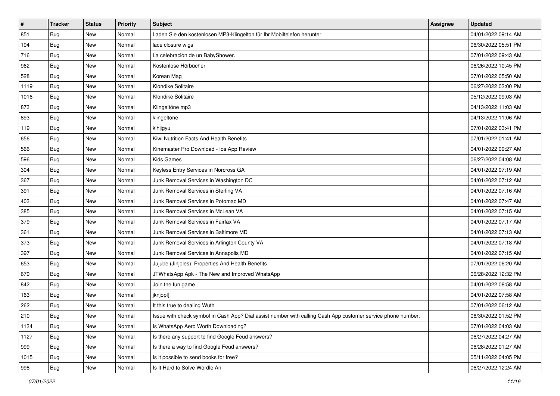| $\vert$ # | <b>Tracker</b> | <b>Status</b> | Priority | <b>Subject</b>                                                                                               | <b>Assignee</b> | <b>Updated</b>      |
|-----------|----------------|---------------|----------|--------------------------------------------------------------------------------------------------------------|-----------------|---------------------|
| 851       | <b>Bug</b>     | New           | Normal   | Laden Sie den kostenlosen MP3-Klingelton für Ihr Mobiltelefon herunter                                       |                 | 04/01/2022 09:14 AM |
| 194       | Bug            | New           | Normal   | lace closure wigs                                                                                            |                 | 06/30/2022 05:51 PM |
| 716       | Bug            | <b>New</b>    | Normal   | La celebración de un BabyShower.                                                                             |                 | 07/01/2022 09:43 AM |
| 962       | <b>Bug</b>     | New           | Normal   | Kostenlose Hörbücher                                                                                         |                 | 06/26/2022 10:45 PM |
| 528       | Bug            | New           | Normal   | Korean Mag                                                                                                   |                 | 07/01/2022 05:50 AM |
| 1119      | Bug            | New           | Normal   | Klondike Solitaire                                                                                           |                 | 06/27/2022 03:00 PM |
| 1016      | Bug            | New           | Normal   | Klondike Solitaire                                                                                           |                 | 05/12/2022 09:03 AM |
| 873       | Bug            | <b>New</b>    | Normal   | Klingeltöne mp3                                                                                              |                 | 04/13/2022 11:03 AM |
| 893       | Bug            | New           | Normal   | klingeltone                                                                                                  |                 | 04/13/2022 11:06 AM |
| 119       | Bug            | New           | Normal   | klhjigyu                                                                                                     |                 | 07/01/2022 03:41 PM |
| 656       | Bug            | New           | Normal   | Kiwi Nutrition Facts And Health Benefits                                                                     |                 | 07/01/2022 01:41 AM |
| 566       | <b>Bug</b>     | New           | Normal   | Kinemaster Pro Download - los App Review                                                                     |                 | 04/01/2022 09:27 AM |
| 596       | Bug            | <b>New</b>    | Normal   | <b>Kids Games</b>                                                                                            |                 | 06/27/2022 04:08 AM |
| 304       | Bug            | New           | Normal   | Keyless Entry Services in Norcross GA                                                                        |                 | 04/01/2022 07:19 AM |
| 367       | Bug            | New           | Normal   | Junk Removal Services in Washington DC                                                                       |                 | 04/01/2022 07:12 AM |
| 391       | Bug            | New           | Normal   | Junk Removal Services in Sterling VA                                                                         |                 | 04/01/2022 07:16 AM |
| 403       | Bug            | New           | Normal   | Junk Removal Services in Potomac MD                                                                          |                 | 04/01/2022 07:47 AM |
| 385       | <b>Bug</b>     | New           | Normal   | Junk Removal Services in McLean VA                                                                           |                 | 04/01/2022 07:15 AM |
| 379       | <b>Bug</b>     | New           | Normal   | Junk Removal Services in Fairfax VA                                                                          |                 | 04/01/2022 07:17 AM |
| 361       | <b>Bug</b>     | New           | Normal   | Junk Removal Services in Baltimore MD                                                                        |                 | 04/01/2022 07:13 AM |
| 373       | <b>Bug</b>     | <b>New</b>    | Normal   | Junk Removal Services in Arlington County VA                                                                 |                 | 04/01/2022 07:18 AM |
| 397       | Bug            | New           | Normal   | Junk Removal Services in Annapolis MD                                                                        |                 | 04/01/2022 07:15 AM |
| 653       | <b>Bug</b>     | New           | Normal   | Jujube (Jinjoles): Properties And Health Benefits                                                            |                 | 07/01/2022 06:20 AM |
| 670       | Bug            | New           | Normal   | JTWhatsApp Apk - The New and Improved WhatsApp                                                               |                 | 06/28/2022 12:32 PM |
| 842       | <b>Bug</b>     | New           | Normal   | Join the fun game                                                                                            |                 | 04/01/2022 08:58 AM |
| 163       | Bug            | New           | Normal   | jknjopl[                                                                                                     |                 | 04/01/2022 07:58 AM |
| 262       | <b>Bug</b>     | New           | Normal   | It this true to dealing Wuth                                                                                 |                 | 07/01/2022 06:12 AM |
| 210       | <b>Bug</b>     | New           | Normal   | Issue with check symbol in Cash App? Dial assist number with calling Cash App customer service phone number. |                 | 06/30/2022 01:52 PM |
| 1134      | Bug            | New           | Normal   | Is WhatsApp Aero Worth Downloading?                                                                          |                 | 07/01/2022 04:03 AM |
| 1127      | Bug            | New           | Normal   | Is there any support to find Google Feud answers?                                                            |                 | 06/27/2022 04:27 AM |
| 999       | Bug            | New           | Normal   | Is there a way to find Google Feud answers?                                                                  |                 | 06/28/2022 01:27 AM |
| 1015      | <b>Bug</b>     | New           | Normal   | Is it possible to send books for free?                                                                       |                 | 05/11/2022 04:05 PM |
| 998       | <b>Bug</b>     | New           | Normal   | Is It Hard to Solve Wordle An                                                                                |                 | 06/27/2022 12:24 AM |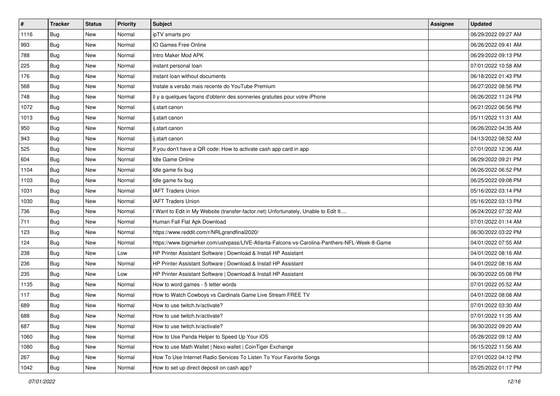| $\vert$ # | <b>Tracker</b> | <b>Status</b> | <b>Priority</b> | Subject                                                                                      | <b>Assignee</b> | <b>Updated</b>      |
|-----------|----------------|---------------|-----------------|----------------------------------------------------------------------------------------------|-----------------|---------------------|
| 1116      | <b>Bug</b>     | New           | Normal          | ipTV smarts pro                                                                              |                 | 06/29/2022 09:27 AM |
| 993       | <b>Bug</b>     | New           | Normal          | IO Games Free Online                                                                         |                 | 06/26/2022 09:41 AM |
| 788       | Bug            | New           | Normal          | Intro Maker Mod APK                                                                          |                 | 06/29/2022 09:13 PM |
| 225       | <b>Bug</b>     | New           | Normal          | instant personal loan                                                                        |                 | 07/01/2022 10:58 AM |
| 176       | Bug            | <b>New</b>    | Normal          | instant loan without documents                                                               |                 | 06/18/2022 01:43 PM |
| 568       | <b>Bug</b>     | New           | Normal          | Instale a versão mais recente do YouTube Premium                                             |                 | 06/27/2022 08:56 PM |
| 748       | Bug            | New           | Normal          | Il y a quelques façons d'obtenir des sonneries gratuites pour votre iPhone                   |                 | 06/26/2022 11:24 PM |
| 1072      | Bug            | New           | Normal          | ij.start canon                                                                               |                 | 06/21/2022 06:56 PM |
| 1013      | Bug            | New           | Normal          | ij.start canon                                                                               |                 | 05/11/2022 11:31 AM |
| 950       | Bug            | New           | Normal          | ij.start canon                                                                               |                 | 06/26/2022 04:35 AM |
| 943       | <b>Bug</b>     | New           | Normal          | ij.start canon                                                                               |                 | 04/13/2022 08:52 AM |
| 525       | Bug            | New           | Normal          | If you don't have a QR code: How to activate cash app card in app                            |                 | 07/01/2022 12:36 AM |
| 604       | Bug            | New           | Normal          | <b>Idle Game Online</b>                                                                      |                 | 06/29/2022 09:21 PM |
| 1104      | <b>Bug</b>     | New           | Normal          | Idle game fix bug                                                                            |                 | 06/26/2022 06:52 PM |
| 1103      | <b>Bug</b>     | New           | Normal          | Idle game fix bug                                                                            |                 | 06/25/2022 09:08 PM |
| 1031      | Bug            | New           | Normal          | <b>IAFT Traders Union</b>                                                                    |                 | 05/16/2022 03:14 PM |
| 1030      | <b>Bug</b>     | New           | Normal          | <b>IAFT Traders Union</b>                                                                    |                 | 05/16/2022 03:13 PM |
| 736       | Bug            | New           | Normal          | I Want to Edit in My Website (transfer-factor.net) Unfortunately, Unable to Edit It          |                 | 06/24/2022 07:32 AM |
| 711       | Bug            | New           | Normal          | Human Fall Flat Apk Download                                                                 |                 | 07/01/2022 01:14 AM |
| 123       | <b>Bug</b>     | New           | Normal          | https://www.reddit.com/r/NRLgrandfinal2020/                                                  |                 | 06/30/2022 03:22 PM |
| 124       | <b>Bug</b>     | New           | Normal          | https://www.bigmarker.com/ustvpass/LIVE-Atlanta-Falcons-vs-Carolina-Panthers-NFL-Week-8-Game |                 | 04/01/2022 07:55 AM |
| 238       | <b>Bug</b>     | New           | Low             | HP Printer Assistant Software   Download & Install HP Assistant                              |                 | 04/01/2022 08:16 AM |
| 236       | Bug            | <b>New</b>    | Normal          | HP Printer Assistant Software   Download & Install HP Assistant                              |                 | 04/01/2022 08:16 AM |
| 235       | <b>Bug</b>     | New           | Low             | HP Printer Assistant Software   Download & Install HP Assistant                              |                 | 06/30/2022 05:08 PM |
| 1135      | <b>Bug</b>     | New           | Normal          | How to word games - 5 letter words                                                           |                 | 07/01/2022 05:52 AM |
| 117       | Bug            | New           | Normal          | How to Watch Cowboys vs Cardinals Game Live Stream FREE TV                                   |                 | 04/01/2022 08:08 AM |
| 689       | <b>Bug</b>     | New           | Normal          | How to use twitch.tv/activate?                                                               |                 | 07/01/2022 03:30 AM |
| 688       | <b>Bug</b>     | New           | Normal          | How to use twitch.tv/activate?                                                               |                 | 07/01/2022 11:35 AM |
| 687       | <b>Bug</b>     | New           | Normal          | How to use twitch.tv/activate?                                                               |                 | 06/30/2022 09:20 AM |
| 1060      | Bug            | New           | Normal          | How to Use Panda Helper to Speed Up Your iOS                                                 |                 | 05/28/2022 09:12 AM |
| 1080      | Bug            | New           | Normal          | How to use Math Wallet   Nexo wallet   CoinTiger Exchange                                    |                 | 06/15/2022 11:56 AM |
| 267       | Bug            | New           | Normal          | How To Use Internet Radio Services To Listen To Your Favorite Songs                          |                 | 07/01/2022 04:12 PM |
| 1042      | <b>Bug</b>     | New           | Normal          | How to set up direct deposit on cash app?                                                    |                 | 05/25/2022 01:17 PM |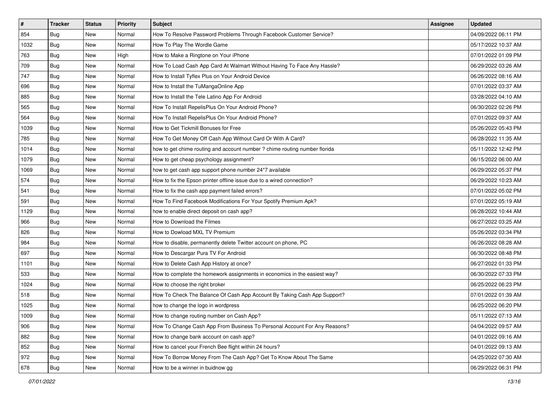| #    | <b>Tracker</b> | <b>Status</b> | <b>Priority</b> | <b>Subject</b>                                                             | <b>Assignee</b> | <b>Updated</b>      |
|------|----------------|---------------|-----------------|----------------------------------------------------------------------------|-----------------|---------------------|
| 854  | <b>Bug</b>     | New           | Normal          | How To Resolve Password Problems Through Facebook Customer Service?        |                 | 04/09/2022 06:11 PM |
| 1032 | Bug            | New           | Normal          | How To Play The Wordle Game                                                |                 | 05/17/2022 10:37 AM |
| 763  | Bug            | New           | High            | How to Make a Ringtone on Your iPhone                                      |                 | 07/01/2022 01:09 PM |
| 709  | <b>Bug</b>     | New           | Normal          | How To Load Cash App Card At Walmart Without Having To Face Any Hassle?    |                 | 06/29/2022 03:26 AM |
| 747  | Bug            | New           | Normal          | How to Install Tyflex Plus on Your Android Device                          |                 | 06/26/2022 08:16 AM |
| 696  | <b>Bug</b>     | New           | Normal          | How to Install the TuMangaOnline App                                       |                 | 07/01/2022 03:37 AM |
| 885  | <b>Bug</b>     | New           | Normal          | How to Install the Tele Latino App For Android                             |                 | 03/28/2022 04:10 AM |
| 565  | <b>Bug</b>     | New           | Normal          | How To Install RepelisPlus On Your Android Phone?                          |                 | 06/30/2022 02:26 PM |
| 564  | Bug            | New           | Normal          | How To Install RepelisPlus On Your Android Phone?                          |                 | 07/01/2022 09:37 AM |
| 1039 | Bug            | New           | Normal          | How to Get Tickmill Bonuses for Free                                       |                 | 05/26/2022 05:43 PM |
| 785  | <b>Bug</b>     | New           | Normal          | How To Get Money Off Cash App Without Card Or With A Card?                 |                 | 06/28/2022 11:35 AM |
| 1014 | <b>Bug</b>     | New           | Normal          | how to get chime routing and account number ? chime routing number florida |                 | 05/11/2022 12:42 PM |
| 1079 | Bug            | New           | Normal          | How to get cheap psychology assignment?                                    |                 | 06/15/2022 06:00 AM |
| 1069 | <b>Bug</b>     | New           | Normal          | how to get cash app support phone number 24*7 available                    |                 | 06/29/2022 05:37 PM |
| 574  | <b>Bug</b>     | New           | Normal          | How to fix the Epson printer offline issue due to a wired connection?      |                 | 06/29/2022 10:23 AM |
| 541  | <b>Bug</b>     | New           | Normal          | How to fix the cash app payment failed errors?                             |                 | 07/01/2022 05:02 PM |
| 591  | <b>Bug</b>     | New           | Normal          | How To Find Facebook Modifications For Your Spotify Premium Apk?           |                 | 07/01/2022 05:19 AM |
| 1129 | Bug            | New           | Normal          | how to enable direct deposit on cash app?                                  |                 | 06/28/2022 10:44 AM |
| 966  | <b>Bug</b>     | New           | Normal          | How to Download the Filmes                                                 |                 | 06/27/2022 03:25 AM |
| 826  | Bug            | New           | Normal          | How to Dowload MXL TV Premium                                              |                 | 05/26/2022 03:34 PM |
| 984  | <b>Bug</b>     | New           | Normal          | How to disable, permanently delete Twitter account on phone, PC            |                 | 06/26/2022 08:28 AM |
| 697  | Bug            | New           | Normal          | How to Descargar Pura TV For Android                                       |                 | 06/30/2022 08:48 PM |
| 1101 | Bug            | New           | Normal          | How to Delete Cash App History at once?                                    |                 | 06/27/2022 01:33 PM |
| 533  | <b>Bug</b>     | New           | Normal          | How to complete the homework assignments in economics in the easiest way?  |                 | 06/30/2022 07:33 PM |
| 1024 | Bug            | New           | Normal          | How to choose the right broker                                             |                 | 06/25/2022 06:23 PM |
| 518  | Bug            | New           | Normal          | How To Check The Balance Of Cash App Account By Taking Cash App Support?   |                 | 07/01/2022 01:39 AM |
| 1025 | <b>Bug</b>     | New           | Normal          | how to change the logo in wordpress                                        |                 | 06/25/2022 06:20 PM |
| 1009 | Bug            | New           | Normal          | How to change routing number on Cash App?                                  |                 | 05/11/2022 07:13 AM |
| 906  | <b>Bug</b>     | New           | Normal          | How To Change Cash App From Business To Personal Account For Any Reasons?  |                 | 04/04/2022 09:57 AM |
| 882  | Bug            | New           | Normal          | How to change bank account on cash app?                                    |                 | 04/01/2022 09:16 AM |
| 852  | <b>Bug</b>     | New           | Normal          | How to cancel your French Bee flight within 24 hours?                      |                 | 04/01/2022 09:13 AM |
| 972  | Bug            | New           | Normal          | How To Borrow Money From The Cash App? Get To Know About The Same          |                 | 04/25/2022 07:30 AM |
| 678  | <b>Bug</b>     | New           | Normal          | How to be a winner in buidnow gg                                           |                 | 06/29/2022 06:31 PM |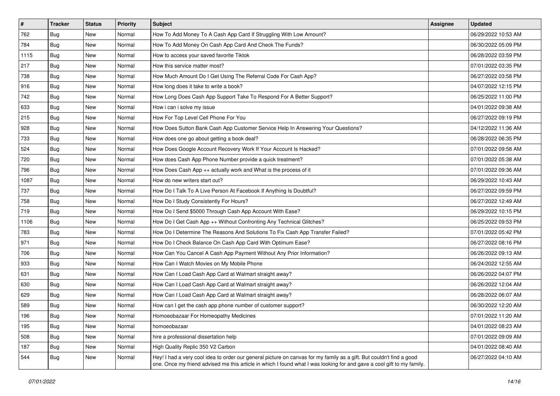| $\vert$ # | <b>Tracker</b> | <b>Status</b> | <b>Priority</b> | <b>Subject</b>                                                                                                                                                                                                                                 | <b>Assignee</b> | <b>Updated</b>      |
|-----------|----------------|---------------|-----------------|------------------------------------------------------------------------------------------------------------------------------------------------------------------------------------------------------------------------------------------------|-----------------|---------------------|
| 762       | <b>Bug</b>     | New           | Normal          | How To Add Money To A Cash App Card If Struggling With Low Amount?                                                                                                                                                                             |                 | 06/29/2022 10:53 AM |
| 784       | Bug            | New           | Normal          | How To Add Money On Cash App Card And Check The Funds?                                                                                                                                                                                         |                 | 06/30/2022 05:09 PM |
| 1115      | Bug            | New           | Normal          | How to access your saved favorite Tiktok                                                                                                                                                                                                       |                 | 06/28/2022 03:59 PM |
| 217       | <b>Bug</b>     | New           | Normal          | How this service matter most?                                                                                                                                                                                                                  |                 | 07/01/2022 03:35 PM |
| 738       | Bug            | New           | Normal          | How Much Amount Do I Get Using The Referral Code For Cash App?                                                                                                                                                                                 |                 | 06/27/2022 03:58 PM |
| 916       | <b>Bug</b>     | New           | Normal          | How long does it take to write a book?                                                                                                                                                                                                         |                 | 04/07/2022 12:15 PM |
| 742       | Bug            | New           | Normal          | How Long Does Cash App Support Take To Respond For A Better Support?                                                                                                                                                                           |                 | 06/25/2022 11:00 PM |
| 633       | <b>Bug</b>     | New           | Normal          | How i can i solve my issue                                                                                                                                                                                                                     |                 | 04/01/2022 09:38 AM |
| 215       | Bug            | New           | Normal          | How For Top Level Cell Phone For You                                                                                                                                                                                                           |                 | 06/27/2022 09:19 PM |
| 928       | Bug            | New           | Normal          | How Does Sutton Bank Cash App Customer Service Help In Answering Your Questions?                                                                                                                                                               |                 | 04/12/2022 11:36 AM |
| 733       | <b>Bug</b>     | New           | Normal          | How does one go about getting a book deal?                                                                                                                                                                                                     |                 | 06/28/2022 06:35 PM |
| 524       | <b>Bug</b>     | New           | Normal          | How Does Google Account Recovery Work If Your Account Is Hacked?                                                                                                                                                                               |                 | 07/01/2022 09:58 AM |
| 720       | Bug            | New           | Normal          | How does Cash App Phone Number provide a quick treatment?                                                                                                                                                                                      |                 | 07/01/2022 05:38 AM |
| 796       | <b>Bug</b>     | New           | Normal          | How Does Cash App ++ actually work and What is the process of it                                                                                                                                                                               |                 | 07/01/2022 09:36 AM |
| 1087      | <b>Bug</b>     | New           | Normal          | How do new writers start out?                                                                                                                                                                                                                  |                 | 06/29/2022 10:43 AM |
| 737       | <b>Bug</b>     | New           | Normal          | How Do I Talk To A Live Person At Facebook If Anything Is Doubtful?                                                                                                                                                                            |                 | 06/27/2022 09:59 PM |
| 758       | <b>Bug</b>     | New           | Normal          | How Do I Study Consistently For Hours?                                                                                                                                                                                                         |                 | 06/27/2022 12:49 AM |
| 719       | Bug            | New           | Normal          | How Do I Send \$5000 Through Cash App Account With Ease?                                                                                                                                                                                       |                 | 06/29/2022 10:15 PM |
| 1106      | <b>Bug</b>     | New           | Normal          | How Do I Get Cash App ++ Without Confronting Any Technical Glitches?                                                                                                                                                                           |                 | 06/25/2022 09:53 PM |
| 783       | Bug            | New           | Normal          | How Do I Determine The Reasons And Solutions To Fix Cash App Transfer Failed?                                                                                                                                                                  |                 | 07/01/2022 05:42 PM |
| 971       | <b>Bug</b>     | <b>New</b>    | Normal          | How Do I Check Balance On Cash App Card With Optimum Ease?                                                                                                                                                                                     |                 | 06/27/2022 08:16 PM |
| 706       | <b>Bug</b>     | New           | Normal          | How Can You Cancel A Cash App Payment Without Any Prior Information?                                                                                                                                                                           |                 | 06/26/2022 09:13 AM |
| 933       | Bug            | New           | Normal          | How Can I Watch Movies on My Mobile Phone                                                                                                                                                                                                      |                 | 06/24/2022 12:55 AM |
| 631       | <b>Bug</b>     | New           | Normal          | How Can I Load Cash App Card at Walmart straight away?                                                                                                                                                                                         |                 | 06/26/2022 04:07 PM |
| 630       | Bug            | New           | Normal          | How Can I Load Cash App Card at Walmart straight away?                                                                                                                                                                                         |                 | 06/26/2022 12:04 AM |
| 629       | Bug            | New           | Normal          | How Can I Load Cash App Card at Walmart straight away?                                                                                                                                                                                         |                 | 06/28/2022 06:07 AM |
| 589       | <b>Bug</b>     | New           | Normal          | How can I get the cash app phone number of customer support?                                                                                                                                                                                   |                 | 06/30/2022 12:20 AM |
| 196       | Bug            | New           | Normal          | Homoeobazaar For Homeopathy Medicines                                                                                                                                                                                                          |                 | 07/01/2022 11:20 AM |
| 195       | <b>Bug</b>     | New           | Normal          | homoeobazaar                                                                                                                                                                                                                                   |                 | 04/01/2022 08:23 AM |
| 508       | <b>Bug</b>     | New           | Normal          | hire a professional dissertation help                                                                                                                                                                                                          |                 | 07/01/2022 09:09 AM |
| 187       | Bug            | New           | Normal          | High Quality Replic 350 V2 Carbon                                                                                                                                                                                                              |                 | 04/01/2022 08:40 AM |
| 544       | <b>Bug</b>     | New           | Normal          | Hey! I had a very cool idea to order our general picture on canvas for my family as a gift. But couldn't find a good<br>one. Once my friend advised me this article in which I found what I was looking for and gave a cool gift to my family. |                 | 06/27/2022 04:10 AM |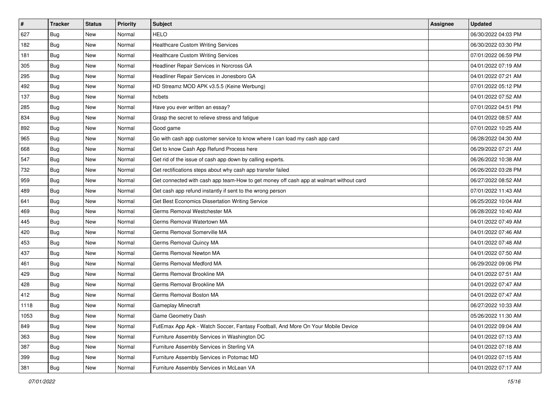| $\sharp$ | <b>Tracker</b> | <b>Status</b> | <b>Priority</b> | <b>Subject</b>                                                                         | Assignee | <b>Updated</b>      |
|----------|----------------|---------------|-----------------|----------------------------------------------------------------------------------------|----------|---------------------|
| 627      | <b>Bug</b>     | New           | Normal          | <b>HELO</b>                                                                            |          | 06/30/2022 04:03 PM |
| 182      | Bug            | New           | Normal          | <b>Healthcare Custom Writing Services</b>                                              |          | 06/30/2022 03:30 PM |
| 181      | Bug            | New           | Normal          | <b>Healthcare Custom Writing Services</b>                                              |          | 07/01/2022 06:59 PM |
| 305      | <b>Bug</b>     | <b>New</b>    | Normal          | Headliner Repair Services in Norcross GA                                               |          | 04/01/2022 07:19 AM |
| 295      | <b>Bug</b>     | <b>New</b>    | Normal          | Headliner Repair Services in Jonesboro GA                                              |          | 04/01/2022 07:21 AM |
| 492      | <b>Bug</b>     | New           | Normal          | HD Streamz MOD APK v3.5.5 (Keine Werbung)                                              |          | 07/01/2022 05:12 PM |
| 137      | <b>Bug</b>     | New           | Normal          | hcbets                                                                                 |          | 04/01/2022 07:52 AM |
| 285      | Bug            | <b>New</b>    | Normal          | Have you ever written an essay?                                                        |          | 07/01/2022 04:51 PM |
| 834      | <b>Bug</b>     | New           | Normal          | Grasp the secret to relieve stress and fatigue                                         |          | 04/01/2022 08:57 AM |
| 892      | <b>Bug</b>     | <b>New</b>    | Normal          | Good game                                                                              |          | 07/01/2022 10:25 AM |
| 965      | Bug            | New           | Normal          | Go with cash app customer service to know where I can load my cash app card            |          | 06/28/2022 04:30 AM |
| 668      | Bug            | New           | Normal          | Get to know Cash App Refund Process here                                               |          | 06/29/2022 07:21 AM |
| 547      | Bug            | <b>New</b>    | Normal          | Get rid of the issue of cash app down by calling experts.                              |          | 06/26/2022 10:38 AM |
| 732      | <b>Bug</b>     | New           | Normal          | Get rectifications steps about why cash app transfer failed                            |          | 06/26/2022 03:28 PM |
| 959      | <b>Bug</b>     | <b>New</b>    | Normal          | Get connected with cash app team-How to get money off cash app at walmart without card |          | 06/27/2022 08:52 AM |
| 489      | <b>Bug</b>     | New           | Normal          | Get cash app refund instantly if sent to the wrong person                              |          | 07/01/2022 11:43 AM |
| 641      | <b>Bug</b>     | <b>New</b>    | Normal          | Get Best Economics Dissertation Writing Service                                        |          | 06/25/2022 10:04 AM |
| 469      | Bug            | <b>New</b>    | Normal          | Germs Removal Westchester MA                                                           |          | 06/28/2022 10:40 AM |
| 445      | <b>Bug</b>     | New           | Normal          | Germs Removal Watertown MA                                                             |          | 04/01/2022 07:49 AM |
| 420      | Bug            | New           | Normal          | Germs Removal Somerville MA                                                            |          | 04/01/2022 07:46 AM |
| 453      | <b>Bug</b>     | <b>New</b>    | Normal          | Germs Removal Quincy MA                                                                |          | 04/01/2022 07:48 AM |
| 437      | <b>Bug</b>     | New           | Normal          | Germs Removal Newton MA                                                                |          | 04/01/2022 07:50 AM |
| 461      | Bug            | <b>New</b>    | Normal          | Germs Removal Medford MA                                                               |          | 06/29/2022 09:06 PM |
| 429      | <b>Bug</b>     | New           | Normal          | Germs Removal Brookline MA                                                             |          | 04/01/2022 07:51 AM |
| 428      | <b>Bug</b>     | New           | Normal          | Germs Removal Brookline MA                                                             |          | 04/01/2022 07:47 AM |
| 412      | Bug            | <b>New</b>    | Normal          | Germs Removal Boston MA                                                                |          | 04/01/2022 07:47 AM |
| 1118     | <b>Bug</b>     | New           | Normal          | Gameplay Minecraft                                                                     |          | 06/27/2022 10:33 AM |
| 1053     | <b>Bug</b>     | New           | Normal          | Game Geometry Dash                                                                     |          | 05/26/2022 11:30 AM |
| 849      | Bug            | New           | Normal          | FutEmax App Apk - Watch Soccer, Fantasy Football, And More On Your Mobile Device       |          | 04/01/2022 09:04 AM |
| 363      | Bug            | New           | Normal          | Furniture Assembly Services in Washington DC                                           |          | 04/01/2022 07:13 AM |
| 387      | <b>Bug</b>     | New           | Normal          | Furniture Assembly Services in Sterling VA                                             |          | 04/01/2022 07:18 AM |
| 399      | Bug            | New           | Normal          | Furniture Assembly Services in Potomac MD                                              |          | 04/01/2022 07:15 AM |
| 381      | <b>Bug</b>     | New           | Normal          | Furniture Assembly Services in McLean VA                                               |          | 04/01/2022 07:17 AM |